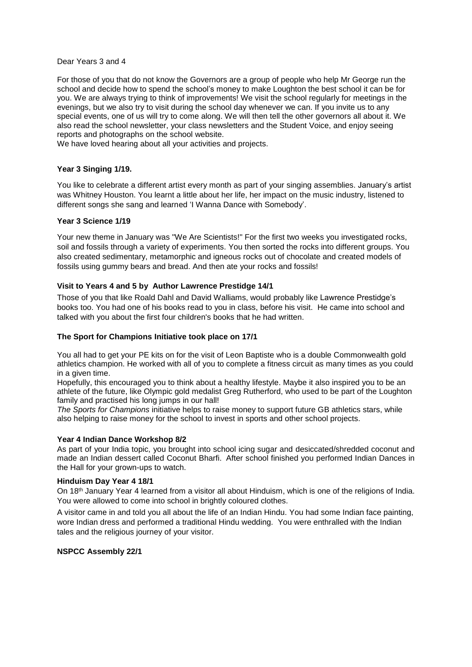## Dear Years 3 and 4

For those of you that do not know the Governors are a group of people who help Mr George run the school and decide how to spend the school's money to make Loughton the best school it can be for you. We are always trying to think of improvements! We visit the school regularly for meetings in the evenings, but we also try to visit during the school day whenever we can. If you invite us to any special events, one of us will try to come along. We will then tell the other governors all about it. We also read the school newsletter, your class newsletters and the Student Voice, and enjoy seeing reports and photographs on the school website.

We have loved hearing about all your activities and projects.

## **Year 3 Singing 1/19.**

You like to celebrate a different artist every month as part of your singing assemblies. January's artist was Whitney Houston. You learnt a little about her life, her impact on the music industry, listened to different songs she sang and learned 'I Wanna Dance with Somebody'.

## **Year 3 Science 1/19**

Your new theme in January was "We Are Scientists!" For the first two weeks you investigated rocks, soil and fossils through a variety of experiments. You then sorted the rocks into different groups. You also created sedimentary, metamorphic and igneous rocks out of chocolate and created models of fossils using gummy bears and bread. And then ate your rocks and fossils!

# **Visit to Years 4 and 5 by Author Lawrence Prestidge 14/1**

Those of you that like Roald Dahl and David Walliams, would probably like Lawrence Prestidge's books too. You had one of his books read to you in class, before his visit. He came into school and talked with you about the first four children's books that he had written.

## **The Sport for Champions Initiative took place on 17/1**

You all had to get your PE kits on for the visit of Leon Baptiste who is a double Commonwealth gold athletics champion. He worked with all of you to complete a fitness circuit as many times as you could in a given time.

Hopefully, this encouraged you to think about a healthy lifestyle. Maybe it also inspired you to be an athlete of the future, like Olympic gold medalist Greg Rutherford, who used to be part of the Loughton family and practised his long jumps in our hall!

*The Sports for Champions* initiative helps to raise money to support future GB athletics stars, while also helping to raise money for the school to invest in sports and other school projects.

## **Year 4 Indian Dance Workshop 8/2**

As part of your India topic, you brought into school icing sugar and desiccated/shredded coconut and made an Indian dessert called Coconut Bharfi. After school finished you performed Indian Dances in the Hall for your grown-ups to watch.

# **Hinduism Day Year 4 18/1**

On 18th January Year 4 learned from a visitor all about Hinduism, which is one of the religions of India. You were allowed to come into school in brightly coloured clothes.

A visitor came in and told you all about the life of an Indian Hindu. You had some Indian face painting, wore Indian dress and performed a traditional Hindu wedding. You were enthralled with the Indian tales and the religious journey of your visitor.

## **NSPCC Assembly 22/1**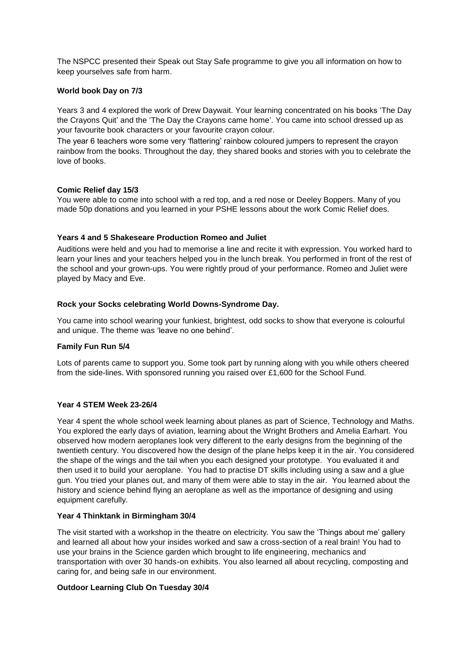The NSPCC presented their Speak out Stay Safe programme to give you all information on how to keep yourselves safe from harm.

# **World book Day on 7/3**

Years 3 and 4 explored the work of Drew Daywait. Your learning concentrated on his books 'The Day the Crayons Quit' and the 'The Day the Crayons came home'. You came into school dressed up as your favourite book characters or your favourite crayon colour.

The year 6 teachers wore some very 'flattering' rainbow coloured jumpers to represent the crayon rainbow from the books. Throughout the day, they shared books and stories with you to celebrate the love of books.

# **Comic Relief day 15/3**

You were able to come into school with a red top, and a red nose or Deeley Boppers. Many of you made 50p donations and you learned in your PSHE lessons about the work Comic Relief does.

# **Years 4 and 5 Shakeseare Production Romeo and Juliet**

Auditions were held and you had to memorise a line and recite it with expression. You worked hard to learn your lines and your teachers helped you in the lunch break. You performed in front of the rest of the school and your grown-ups. You were rightly proud of your performance. Romeo and Juliet were played by Macy and Eve.

# **Rock your Socks celebrating World Downs-Syndrome Day.**

You came into school wearing your funkiest, brightest, odd socks to show that everyone is colourful and unique. The theme was 'leave no one behind'.

## **Family Fun Run 5/4**

Lots of parents came to support you. Some took part by running along with you while others cheered from the side-lines. With sponsored running you raised over £1,600 for the School Fund.

## **Year 4 STEM Week 23-26/4**

Year 4 spent the whole school week learning about planes as part of Science, Technology and Maths. You explored the early days of aviation, learning about the Wright Brothers and Amelia Earhart. You observed how modern aeroplanes look very different to the early designs from the beginning of the twentieth century. You discovered how the design of the plane helps keep it in the air. You considered the shape of the wings and the tail when you each designed your prototype. You evaluated it and then used it to build your aeroplane. You had to practise DT skills including using a saw and a glue gun. You tried your planes out, and many of them were able to stay in the air. You learned about the history and science behind flying an aeroplane as well as the importance of designing and using equipment carefully.

# **Year 4 Thinktank in Birmingham 30/4**

The visit started with a workshop in the theatre on electricity. You saw the 'Things about me' gallery and learned all about how your insides worked and saw a cross-section of a real brain! You had to use your brains in the Science garden which brought to life engineering, mechanics and transportation with over 30 hands-on exhibits. You also learned all about recycling, composting and caring for, and being safe in our environment.

# **Outdoor Learning Club On Tuesday 30/4**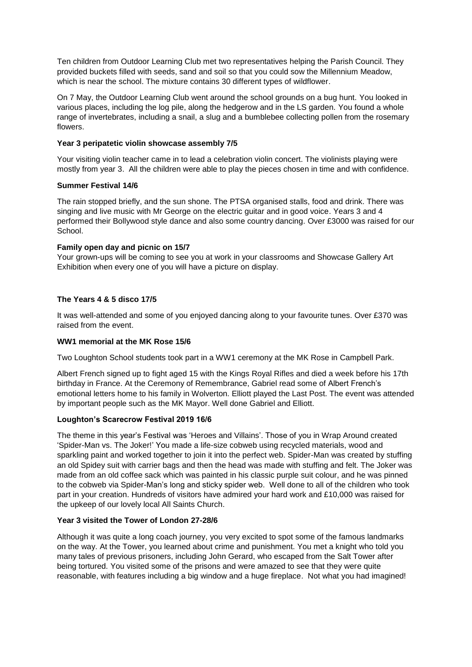Ten children from Outdoor Learning Club met two representatives helping the Parish Council. They provided buckets filled with seeds, sand and soil so that you could sow the Millennium Meadow, which is near the school. The mixture contains 30 different types of wildflower.

On 7 May, the Outdoor Learning Club went around the school grounds on a bug hunt. You looked in various places, including the log pile, along the hedgerow and in the LS garden. You found a whole range of invertebrates, including a snail, a slug and a bumblebee collecting pollen from the rosemary flowers.

# **Year 3 peripatetic violin showcase assembly 7/5**

Your visiting violin teacher came in to lead a celebration violin concert. The violinists playing were mostly from year 3. All the children were able to play the pieces chosen in time and with confidence.

# **Summer Festival 14/6**

The rain stopped briefly, and the sun shone. The PTSA organised stalls, food and drink. There was singing and live music with Mr George on the electric guitar and in good voice. Years 3 and 4 performed their Bollywood style dance and also some country dancing. Over £3000 was raised for our School.

# **Family open day and picnic on 15/7**

Your grown-ups will be coming to see you at work in your classrooms and Showcase Gallery Art Exhibition when every one of you will have a picture on display.

# **The Years 4 & 5 disco 17/5**

It was well-attended and some of you enjoyed dancing along to your favourite tunes. Over £370 was raised from the event.

## **WW1 memorial at the MK Rose 15/6**

Two Loughton School students took part in a WW1 ceremony at the MK Rose in Campbell Park.

Albert French signed up to fight aged 15 with the Kings Royal Rifles and died a week before his 17th birthday in France. At the Ceremony of Remembrance, Gabriel read some of Albert French's emotional letters home to his family in Wolverton. Elliott played the Last Post. The event was attended by important people such as the MK Mayor. Well done Gabriel and Elliott.

## **Loughton's Scarecrow Festival 2019 16/6**

The theme in this year's Festival was 'Heroes and Villains'. Those of you in Wrap Around created 'Spider-Man vs. The Joker!' You made a life-size cobweb using recycled materials, wood and sparkling paint and worked together to join it into the perfect web. Spider-Man was created by stuffing an old Spidey suit with carrier bags and then the head was made with stuffing and felt. The Joker was made from an old coffee sack which was painted in his classic purple suit colour, and he was pinned to the cobweb via Spider-Man's long and sticky spider web. Well done to all of the children who took part in your creation. Hundreds of visitors have admired your hard work and £10,000 was raised for the upkeep of our lovely local All Saints Church.

## **Year 3 visited the Tower of London 27-28/6**

Although it was quite a long coach journey, you very excited to spot some of the famous landmarks on the way. At the Tower, you learned about crime and punishment. You met a knight who told you many tales of previous prisoners, including John Gerard, who escaped from the Salt Tower after being tortured. You visited some of the prisons and were amazed to see that they were quite reasonable, with features including a big window and a huge fireplace. Not what you had imagined!